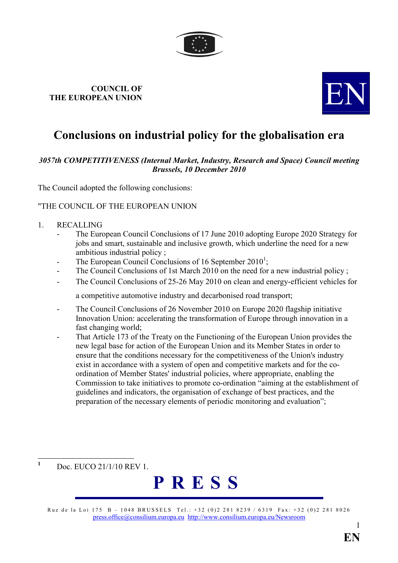

# COUNCIL OF COUNCIL OF THE EUROPEAN UNION



## Conclusions on industrial policy for the globalisation era

### 3057th COMPETITIVENESS (Internal Market, Industry, Research and Space) Council meeting Brussels, 10 December 2010

The Council adopted the following conclusions:

#### "THE COUNCIL OF THE EUROPEAN UNION

- 1. RECALLING
	- The European Council Conclusions of 17 June 2010 adopting Europe 2020 Strategy for jobs and smart, sustainable and inclusive growth, which underline the need for a new ambitious industrial policy ;
	- The European Council Conclusions of 16 September  $2010^1$ ;
	- The Council Conclusions of 1st March 2010 on the need for a new industrial policy;
	- The Council Conclusions of 25-26 May 2010 on clean and energy-efficient vehicles for

a competitive automotive industry and decarbonised road transport;

- The Council Conclusions of 26 November 2010 on Europe 2020 flagship initiative Innovation Union: accelerating the transformation of Europe through innovation in a fast changing world;
- That Article 173 of the Treaty on the Functioning of the European Union provides the new legal base for action of the European Union and its Member States in order to ensure that the conditions necessary for the competitiveness of the Union's industry exist in accordance with a system of open and competitive markets and for the coordination of Member States' industrial policies, where appropriate, enabling the Commission to take initiatives to promote co-ordination "aiming at the establishment of guidelines and indicators, the organisation of exchange of best practices, and the preparation of the necessary elements of periodic monitoring and evaluation";

Doc. EUCO 21/1/10 REV 1.

 $\frac{1}{1}$ 



Rue de la Loi 175 B – 1048 BRUSSELS Tel.: +32 (0)2 281 8239 / 6319 Fax: +32 (0)2 281 8026 [press.office@consilium.europa.eu](mailto:press.office@consilium.eu.int) [http://www.consilium.europa.eu/Newsroom](http://ue.eu.int/Newsroom)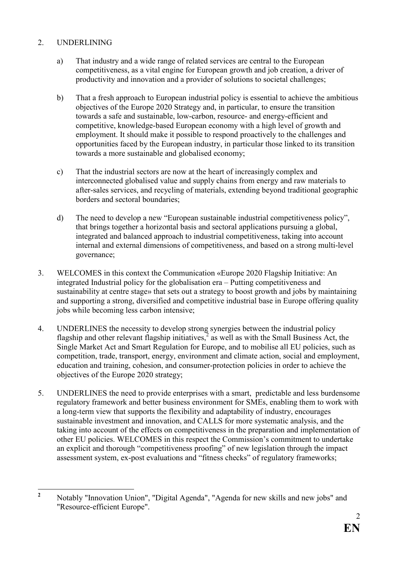### 2. UNDERLINING

- a) That industry and a wide range of related services are central to the European competitiveness, as a vital engine for European growth and job creation, a driver of productivity and innovation and a provider of solutions to societal challenges;
- b) That a fresh approach to European industrial policy is essential to achieve the ambitious objectives of the Europe 2020 Strategy and, in particular, to ensure the transition towards a safe and sustainable, low-carbon, resource- and energy-efficient and competitive, knowledge-based European economy with a high level of growth and employment. It should make it possible to respond proactively to the challenges and opportunities faced by the European industry, in particular those linked to its transition towards a more sustainable and globalised economy;
- c) That the industrial sectors are now at the heart of increasingly complex and interconnected globalised value and supply chains from energy and raw materials to after-sales services, and recycling of materials, extending beyond traditional geographic borders and sectoral boundaries;
- d) The need to develop a new "European sustainable industrial competitiveness policy", that brings together a horizontal basis and sectoral applications pursuing a global, integrated and balanced approach to industrial competitiveness, taking into account internal and external dimensions of competitiveness, and based on a strong multi-level governance;
- 3. WELCOMES in this context the Communication «Europe 2020 Flagship Initiative: An integrated Industrial policy for the globalisation era – Putting competitiveness and sustainability at centre stage» that sets out a strategy to boost growth and jobs by maintaining and supporting a strong, diversified and competitive industrial base in Europe offering quality jobs while becoming less carbon intensive;
- 4. UNDERLINES the necessity to develop strong synergies between the industrial policy flagship and other relevant flagship initiatives, $\frac{1}{2}$  as well as with the Small Business Act, the Single Market Act and Smart Regulation for Europe, and to mobilise all EU policies, such as competition, trade, transport, energy, environment and climate action, social and employment, education and training, cohesion, and consumer-protection policies in order to achieve the objectives of the Europe 2020 strategy;
- 5. UNDERLINES the need to provide enterprises with a smart, predictable and less burdensome regulatory framework and better business environment for SMEs, enabling them to work with a long-term view that supports the flexibility and adaptability of industry, encourages sustainable investment and innovation, and CALLS for more systematic analysis, and the taking into account of the effects on competitiveness in the preparation and implementation of other EU policies. WELCOMES in this respect the Commission's commitment to undertake an explicit and thorough "competitiveness proofing" of new legislation through the impact assessment system, ex-post evaluations and "fitness checks" of regulatory frameworks;

 $\frac{1}{2}$  Notably "Innovation Union", "Digital Agenda", "Agenda for new skills and new jobs" and "Resource-efficient Europe".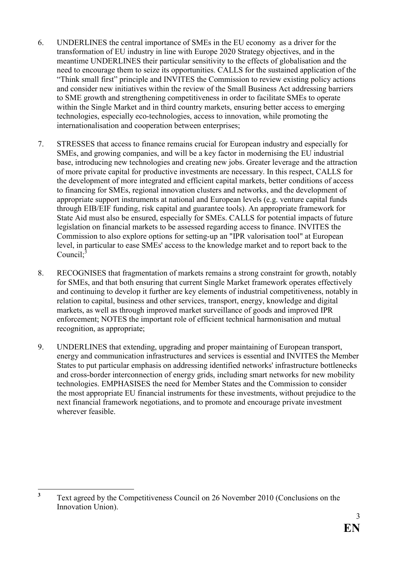- 6. UNDERLINES the central importance of SMEs in the EU economy as a driver for the transformation of EU industry in line with Europe 2020 Strategy objectives, and in the meantime UNDERLINES their particular sensitivity to the effects of globalisation and the need to encourage them to seize its opportunities. CALLS for the sustained application of the "Think small first" principle and INVITES the Commission to review existing policy actions and consider new initiatives within the review of the Small Business Act addressing barriers to SME growth and strengthening competitiveness in order to facilitate SMEs to operate within the Single Market and in third country markets, ensuring better access to emerging technologies, especially eco-technologies, access to innovation, while promoting the internationalisation and cooperation between enterprises;
- 7. STRESSES that access to finance remains crucial for European industry and especially for SMEs, and growing companies, and will be a key factor in modernising the EU industrial base, introducing new technologies and creating new jobs. Greater leverage and the attraction of more private capital for productive investments are necessary. In this respect, CALLS for the development of more integrated and efficient capital markets, better conditions of access to financing for SMEs, regional innovation clusters and networks, and the development of appropriate support instruments at national and European levels (e.g. venture capital funds through EIB/EIF funding, risk capital and guarantee tools). An appropriate framework for State Aid must also be ensured, especially for SMEs. CALLS for potential impacts of future legislation on financial markets to be assessed regarding access to finance. INVITES the Commission to also explore options for setting-up an "IPR valorisation tool" at European level, in particular to ease SMEs' access to the knowledge market and to report back to the Council; $3$
- 8. RECOGNISES that fragmentation of markets remains a strong constraint for growth, notably for SMEs, and that both ensuring that current Single Market framework operates effectively and continuing to develop it further are key elements of industrial competitiveness, notably in relation to capital, business and other services, transport, energy, knowledge and digital markets, as well as through improved market surveillance of goods and improved IPR enforcement; NOTES the important role of efficient technical harmonisation and mutual recognition, as appropriate;
- 9. UNDERLINES that extending, upgrading and proper maintaining of European transport, energy and communication infrastructures and services is essential and INVITES the Member States to put particular emphasis on addressing identified networks' infrastructure bottlenecks and cross-border interconnection of energy grids, including smart networks for new mobility technologies. EMPHASISES the need for Member States and the Commission to consider the most appropriate EU financial instruments for these investments, without prejudice to the next financial framework negotiations, and to promote and encourage private investment wherever feasible.

 $\frac{1}{3}$  Text agreed by the Competitiveness Council on 26 November 2010 (Conclusions on the Innovation Union).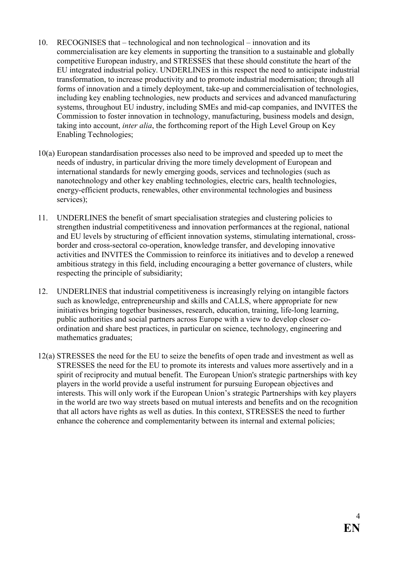- 10. RECOGNISES that technological and non technological innovation and its commercialisation are key elements in supporting the transition to a sustainable and globally competitive European industry, and STRESSES that these should constitute the heart of the EU integrated industrial policy. UNDERLINES in this respect the need to anticipate industrial transformation, to increase productivity and to promote industrial modernisation; through all forms of innovation and a timely deployment, take-up and commercialisation of technologies, including key enabling technologies, new products and services and advanced manufacturing systems, throughout EU industry, including SMEs and mid-cap companies, and INVITES the Commission to foster innovation in technology, manufacturing, business models and design, taking into account, *inter alia*, the forthcoming report of the High Level Group on Key Enabling Technologies;
- 10(a) European standardisation processes also need to be improved and speeded up to meet the needs of industry, in particular driving the more timely development of European and international standards for newly emerging goods, services and technologies (such as nanotechnology and other key enabling technologies, electric cars, health technologies, energy-efficient products, renewables, other environmental technologies and business services);
- 11. UNDERLINES the benefit of smart specialisation strategies and clustering policies to strengthen industrial competitiveness and innovation performances at the regional, national and EU levels by structuring of efficient innovation systems, stimulating international, crossborder and cross-sectoral co-operation, knowledge transfer, and developing innovative activities and INVITES the Commission to reinforce its initiatives and to develop a renewed ambitious strategy in this field, including encouraging a better governance of clusters, while respecting the principle of subsidiarity;
- 12. UNDERLINES that industrial competitiveness is increasingly relying on intangible factors such as knowledge, entrepreneurship and skills and CALLS, where appropriate for new initiatives bringing together businesses, research, education, training, life-long learning, public authorities and social partners across Europe with a view to develop closer coordination and share best practices, in particular on science, technology, engineering and mathematics graduates;
- 12(a) STRESSES the need for the EU to seize the benefits of open trade and investment as well as STRESSES the need for the EU to promote its interests and values more assertively and in a spirit of reciprocity and mutual benefit. The European Union's strategic partnerships with key players in the world provide a useful instrument for pursuing European objectives and interests. This will only work if the European Union's strategic Partnerships with key players in the world are two way streets based on mutual interests and benefits and on the recognition that all actors have rights as well as duties. In this context, STRESSES the need to further enhance the coherence and complementarity between its internal and external policies;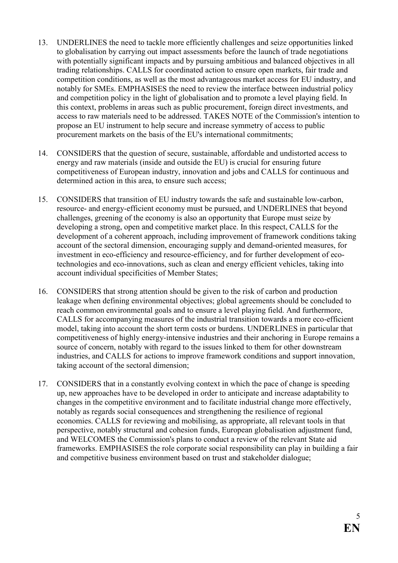- 13. UNDERLINES the need to tackle more efficiently challenges and seize opportunities linked to globalisation by carrying out impact assessments before the launch of trade negotiations with potentially significant impacts and by pursuing ambitious and balanced objectives in all trading relationships. CALLS for coordinated action to ensure open markets, fair trade and competition conditions, as well as the most advantageous market access for EU industry, and notably for SMEs. EMPHASISES the need to review the interface between industrial policy and competition policy in the light of globalisation and to promote a level playing field. In this context, problems in areas such as public procurement, foreign direct investments, and access to raw materials need to be addressed. TAKES NOTE of the Commission's intention to propose an EU instrument to help secure and increase symmetry of access to public procurement markets on the basis of the EU's international commitments;
- 14. CONSIDERS that the question of secure, sustainable, affordable and undistorted access to energy and raw materials (inside and outside the EU) is crucial for ensuring future competitiveness of European industry, innovation and jobs and CALLS for continuous and determined action in this area, to ensure such access;
- 15. CONSIDERS that transition of EU industry towards the safe and sustainable low-carbon, resource- and energy-efficient economy must be pursued, and UNDERLINES that beyond challenges, greening of the economy is also an opportunity that Europe must seize by developing a strong, open and competitive market place. In this respect, CALLS for the development of a coherent approach, including improvement of framework conditions taking account of the sectoral dimension, encouraging supply and demand-oriented measures, for investment in eco-efficiency and resource-efficiency, and for further development of ecotechnologies and eco-innovations, such as clean and energy efficient vehicles, taking into account individual specificities of Member States;
- 16. CONSIDERS that strong attention should be given to the risk of carbon and production leakage when defining environmental objectives; global agreements should be concluded to reach common environmental goals and to ensure a level playing field. And furthermore, CALLS for accompanying measures of the industrial transition towards a more eco-efficient model, taking into account the short term costs or burdens. UNDERLINES in particular that competitiveness of highly energy-intensive industries and their anchoring in Europe remains a source of concern, notably with regard to the issues linked to them for other downstream industries, and CALLS for actions to improve framework conditions and support innovation, taking account of the sectoral dimension;
- 17. CONSIDERS that in a constantly evolving context in which the pace of change is speeding up, new approaches have to be developed in order to anticipate and increase adaptability to changes in the competitive environment and to facilitate industrial change more effectively, notably as regards social consequences and strengthening the resilience of regional economies. CALLS for reviewing and mobilising, as appropriate, all relevant tools in that perspective, notably structural and cohesion funds, European globalisation adjustment fund, and WELCOMES the Commission's plans to conduct a review of the relevant State aid frameworks. EMPHASISES the role corporate social responsibility can play in building a fair and competitive business environment based on trust and stakeholder dialogue;